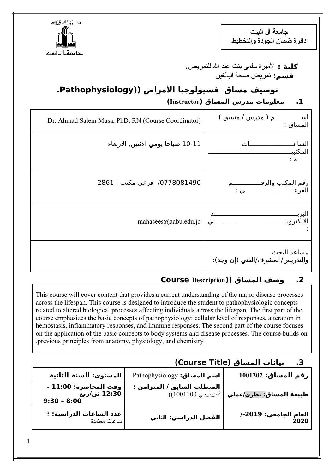**جامعة آل البيت دائرة ضمان الجودة والتخطيطط**



1

**كلية :** األميرة سلمى بنت عبد اهلل للتمريض**. قسم:** تمريض صحة البالغين

# **توصيف مساق فسيولوجيا األمراض ))Pathophysiology. .1 معلومات مدرس المساق )Instructor)**

| Dr. Ahmad Salem Musa, PhD, RN (Course Coordinator) | ـم ( مدرس / منسق )<br>المساق :                 |
|----------------------------------------------------|------------------------------------------------|
| 10-11 صباحا يومي الاثنين, الأربعاء                 |                                                |
| 0778081490/ فرعي مكتب : 2861                       | ــــــــی :<br>الفر ع                          |
| mahasees@aabu.edu.jo                               | ؎ي                                             |
|                                                    | مساعد البحث<br>والتدريس/المشرف/الفني (إن وجد): |

### **.2 وصف المساق ))Description Course**

This course will cover content that provides a current understanding of the major disease processes across the lifespan. This course is designed to introduce the student to pathophysiologic concepts related to altered biological processes affecting individuals across the lifespan. The first part of the course emphasizes the basic concepts of pathophysiology: cellular level of responses, alteration in hemostasis, inflammatory responses, and immune responses. The second part of the course focuses on the application of the basic concepts to body systems and disease processes. The course builds on .previous principles from anatomy, physiology, and chemistry

# **.3 بيانات المساق )Title Course)**

| المستوي: السنة الثانية                  | <b>Pathophysiology :اسم المساق</b>                      | رقم المساق: 1001202           |
|-----------------------------------------|---------------------------------------------------------|-------------------------------|
| وقت المحاضرة: 11:00 -                   | المتطلب السابق / المتزامن :<br>فسيولوجي 100 $(1001100)$ | طبيعة المساق: نظري/عملي       |
| عدد الساعات الدراسية: 3<br>ساعات معتمدة | الفصل الدراسي: الثاني                                   | العام الجامعي: 2019-/<br>2020 |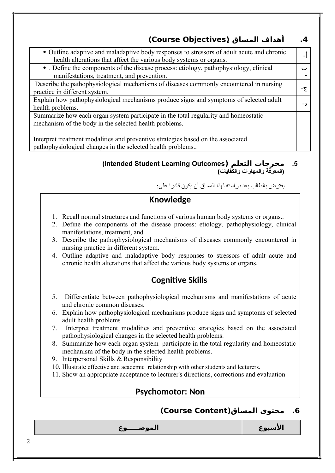# **.4 أهداف المساق )ِObjectives Course)**

| • Outline adaptive and maladaptive body responses to stressors of adult acute and chronic<br>health alterations that affect the various body systems or organs. |    |
|-----------------------------------------------------------------------------------------------------------------------------------------------------------------|----|
| • Define the components of the disease process: etiology, pathophysiology, clinical                                                                             | ٮ  |
| manifestations, treatment, and prevention.                                                                                                                      |    |
| Describe the pathophysiological mechanisms of diseases commonly encountered in nursing<br>practice in different system.                                         | -ج |
| Explain how pathophysiological mechanisms produce signs and symptoms of selected adult<br>health problems.                                                      |    |
| Summarize how each organ system participate in the total regularity and homeostatic<br>mechanism of the body in the selected health problems.                   |    |
| Interpret treatment modalities and preventive strategies based on the associated<br>pathophysiological changes in the selected health problems                  |    |

#### **)Intended Student Learning Outcomes( التعلم مخرجات .5 )المعرفة والمهارات والكفايات(**

يفترض بالطالب بعد دراسته لهذا المساق أن يكون قادرا على:

### **Knowledge**

- 1. Recall normal structures and functions of various human body systems or organs..
- 2. Define the components of the disease process: etiology, pathophysiology, clinical manifestations, treatment, and
- 3. Describe the pathophysiological mechanisms of diseases commonly encountered in nursing practice in different system.
- 4. Outline adaptive and maladaptive body responses to stressors of adult acute and chronic health alterations that affect the various body systems or organs.

# **Cognitive Skills**

- 5. Differentiate between pathophysiological mechanisms and manifestations of acute and chronic common diseases.
- 6. Explain how pathophysiological mechanisms produce signs and symptoms of selected adult health problems
- 7. Interpret treatment modalities and preventive strategies based on the associated pathophysiological changes in the selected health problems.
- 8. Summarize how each organ system participate in the total regularity and homeostatic mechanism of the body in the selected health problems.
- 9. Interpersonal Skills & Responsibility
- 10. Illustrate effective and academic relationship with other students and lecturers.
- 11. Show an appropriate acceptance to lecturer's directions, corrections and evaluation

### **Psychomotor: Non**

## **.6 محتوى المساق)Content Course)**

**األسبوع الموضعععععوع**

 $\mathcal{L}$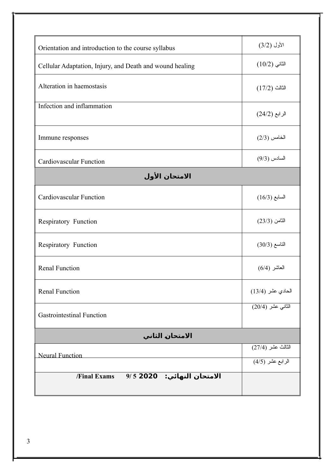| Orientation and introduction to the course syllabus      | الأول (3/2)       |  |  |  |
|----------------------------------------------------------|-------------------|--|--|--|
| Cellular Adaptation, Injury, and Death and wound healing | $(10/2)$ الثاني   |  |  |  |
| Alteration in haemostasis                                | $(17/2)$ الثالث   |  |  |  |
| Infection and inflammation                               | الرابع (24/2)     |  |  |  |
| Immune responses                                         | $(2/3)$ الخامس    |  |  |  |
| <b>Cardiovascular Function</b>                           | $(9/3)$ السادس    |  |  |  |
| الامتحان الأول                                           |                   |  |  |  |
| <b>Cardiovascular Function</b>                           | $(16/3)$ السابع   |  |  |  |
| Respiratory Function                                     | الثامن (23/3)     |  |  |  |
| Respiratory Function                                     | التاسع (30/3)     |  |  |  |
| <b>Renal Function</b>                                    | العاشر (6/4)      |  |  |  |
| <b>Renal Function</b>                                    | الحادي عشر (13/4) |  |  |  |
| <b>Gastrointestinal Function</b>                         | الثاني عشر (20/4) |  |  |  |
| الامتحان الثاني                                          |                   |  |  |  |
| <b>Neural Function</b>                                   | الثالث عشر (27/4) |  |  |  |
|                                                          | الرابع عشر (4/5)  |  |  |  |
| الامتحان النهائي: 2020 5 1/<br><b>/Final Exams</b>       |                   |  |  |  |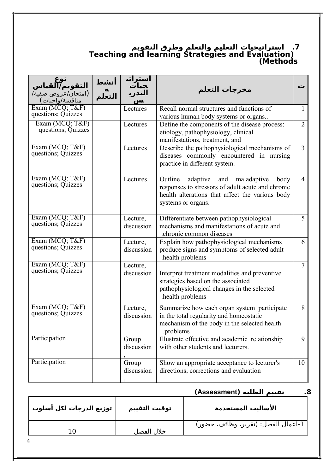#### **.7 استراتيجيات التعليم والتعلم وطرق التقويم Teaching and learning Strategies and Evaluation( )Methods**

| التقويمَ/القياس<br>(امتحان/عروض صفِية/<br>مناقشة/واجبات)  | أنشط<br>ه<br>التعلم | استراتیا<br>جیات<br>التدر ہ<br>س | مخرجات التعلم                                                                                                                                                                   |                |
|-----------------------------------------------------------|---------------------|----------------------------------|---------------------------------------------------------------------------------------------------------------------------------------------------------------------------------|----------------|
| $\overline{\text{Exam (MCQ; T&F)}}$<br>questions; Quizzes |                     | Lectures                         | Recall normal structures and functions of<br>various human body systems or organs                                                                                               | $\mathbf{1}$   |
| Exam (MCQ; T&F)<br>questions; Quizzes                     |                     | Lectures                         | Define the components of the disease process:<br>etiology, pathophysiology, clinical<br>manifestations, treatment, and                                                          | $\overline{2}$ |
| Exam (MCQ; T&F)<br>questions; Quizzes                     |                     | Lectures                         | Describe the pathophysiological mechanisms of<br>diseases commonly encountered in nursing<br>practice in different system.                                                      | $\overline{3}$ |
| Exam (MCQ; T&F)<br>questions; Quizzes                     |                     | Lectures                         | adaptive<br>maladaptive<br>Outline<br>and<br>body<br>responses to stressors of adult acute and chronic<br>health alterations that affect the various body<br>systems or organs. | $\overline{4}$ |
| Exam (MCQ; T&F)<br>questions; Quizzes                     |                     | Lecture,<br>discussion           | Differentiate between pathophysiological<br>mechanisms and manifestations of acute and<br>.chronic common diseases                                                              | 5              |
| Exam (MCQ; T&F)<br>questions; Quizzes                     |                     | Lecture,<br>discussion           | Explain how pathophysiological mechanisms<br>produce signs and symptoms of selected adult<br>health problems.                                                                   | 6              |
| Exam (MCQ; T&F)<br>questions; Quizzes                     |                     | Lecture,<br>discussion           | Interpret treatment modalities and preventive<br>strategies based on the associated<br>pathophysiological changes in the selected<br>health problems.                           | $\overline{7}$ |
| Exam (MCQ; T&F)<br>questions; Quizzes                     |                     | Lecture,<br>discussion           | Summarize how each organ system participate<br>in the total regularity and homeostatic<br>mechanism of the body in the selected health<br>.problems                             | 8              |
| Participation                                             |                     | Group<br>discussion              | Illustrate effective and academic relationship<br>with other students and lecturers.                                                                                            | 9              |
| Participation                                             |                     | Group<br>discussion              | Show an appropriate acceptance to lecturer's<br>directions, corrections and evaluation                                                                                          | 10             |

### **.8 تقييم الطلبة )Assessment)**

| توزيع الدرجات لكل أسلوب | توقيت التقييم | الأساليب المستخدمة |
|-------------------------|---------------|--------------------|
|                         | خلال الفصل    |                    |

4